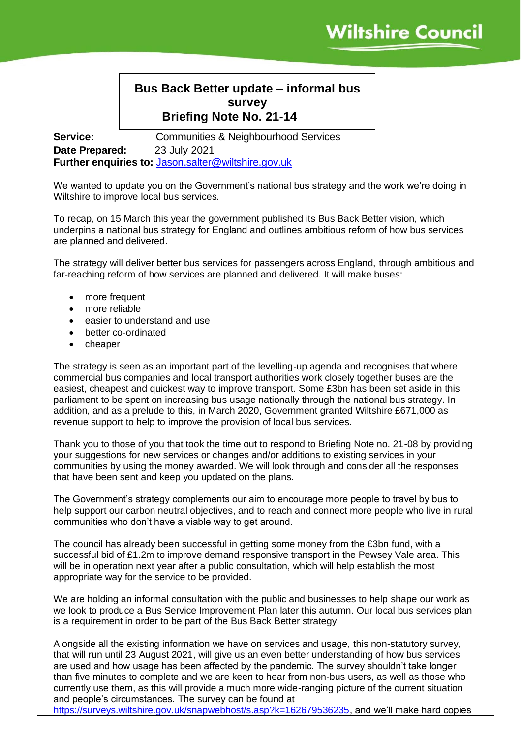## **Bus Back Better update – informal bus survey Briefing Note No. 21-14**

**Service: Communities & Neighbourhood Services Date Prepared:** 23 July 2021 **Further enquiries to:** [Jason.salter@wiltshire.gov.uk](mailto:Jason.salter@wiltshire.gov.uk)

We wanted to update you on the Government's national bus strategy and the work we're doing in Wiltshire to improve local bus services.

To recap, on 15 March this year the government published its Bus Back Better vision, which underpins a national bus strategy for England and outlines ambitious reform of how bus services are planned and delivered.

The strategy will deliver better bus services for passengers across England, through ambitious and far-reaching reform of how services are planned and delivered. It will make buses:

- more frequent
- more reliable
- easier to understand and use
- better co-ordinated
- cheaper

The strategy is seen as an important part of the levelling-up agenda and recognises that where commercial bus companies and local transport authorities work closely together buses are the easiest, cheapest and quickest way to improve transport. Some £3bn has been set aside in this parliament to be spent on increasing bus usage nationally through the national bus strategy. In addition, and as a prelude to this, in March 2020, Government granted Wiltshire £671,000 as revenue support to help to improve the provision of local bus services.

Thank you to those of you that took the time out to respond to Briefing Note no. 21-08 by providing your suggestions for new services or changes and/or additions to existing services in your communities by using the money awarded. We will look through and consider all the responses that have been sent and keep you updated on the plans.

The Government's strategy complements our aim to encourage more people to travel by bus to help support our carbon neutral objectives, and to reach and connect more people who live in rural communities who don't have a viable way to get around.

The council has already been successful in getting some money from the £3bn fund, with a successful bid of £1.2m to improve demand responsive transport in the Pewsey Vale area. This will be in operation next year after a public consultation, which will help establish the most appropriate way for the service to be provided.

We are holding an informal consultation with the public and businesses to help shape our work as we look to produce a Bus Service Improvement Plan later this autumn. Our local bus services plan is a requirement in order to be part of the Bus Back Better strategy.

Alongside all the existing information we have on services and usage, this non-statutory survey, that will run until 23 August 2021, will give us an even better understanding of how bus services are used and how usage has been affected by the pandemic. The survey shouldn't take longer than five minutes to complete and we are keen to hear from non-bus users, as well as those who currently use them, as this will provide a much more wide-ranging picture of the current situation and people's circumstances. The survey can be found at

[https://surveys.wiltshire.gov.uk/snapwebhost/s.asp?k=162679536235,](https://surveys.wiltshire.gov.uk/snapwebhost/s.asp?k=162679536235) and we'll make hard copies